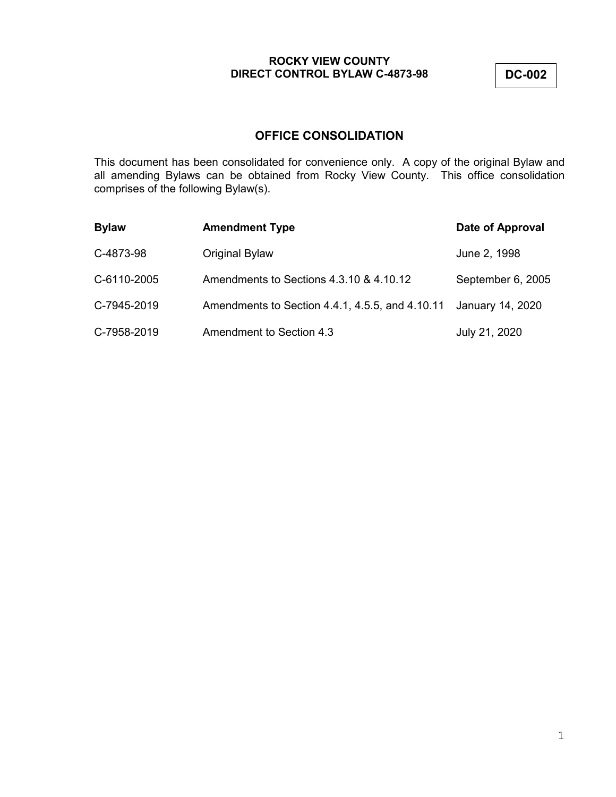**DC-002**

# **OFFICE CONSOLIDATION**

This document has been consolidated for convenience only. A copy of the original Bylaw and all amending Bylaws can be obtained from Rocky View County. This office consolidation comprises of the following Bylaw(s).

| <b>Bylaw</b> | <b>Amendment Type</b>                           | Date of Approval  |
|--------------|-------------------------------------------------|-------------------|
| C-4873-98    | <b>Original Bylaw</b>                           | June 2, 1998      |
| C-6110-2005  | Amendments to Sections 4.3.10 & 4.10.12         | September 6, 2005 |
| C-7945-2019  | Amendments to Section 4.4.1, 4.5.5, and 4.10.11 | January 14, 2020  |
| C-7958-2019  | Amendment to Section 4.3                        | July 21, 2020     |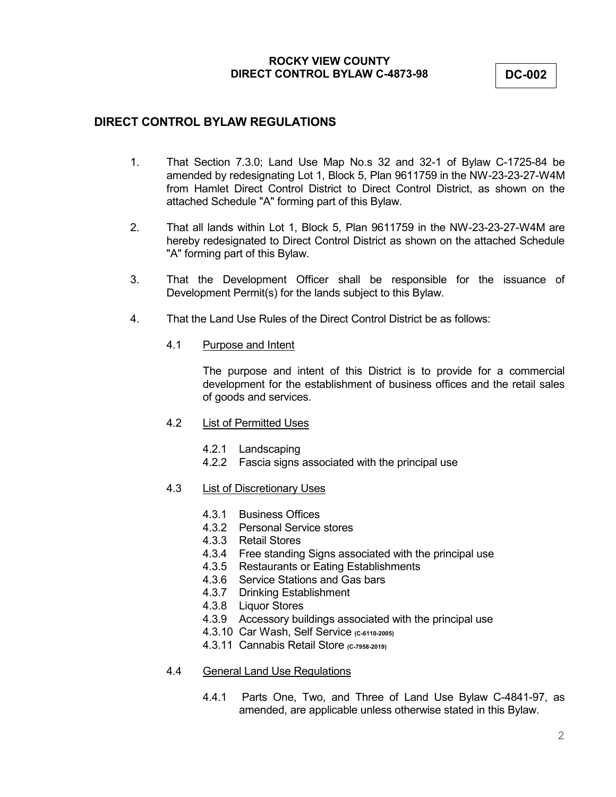**DC-002**

# **DIRECT CONTROL BYLAW REGULATIONS**

- 1. That Section 7.3.0; Land Use Map No.s 32 and 32-1 of Bylaw C-1725-84 be amended by redesignating Lot 1, Block 5, Plan 9611759 in the NW-23-23-27-W4M from Hamlet Direct Control District to Direct Control District, as shown on the attached Schedule "A" forming part of this Bylaw.
- 2. That all lands within Lot 1, Block 5, Plan 9611759 in the NW-23-23-27-W4M are hereby redesignated to Direct Control District as shown on the attached Schedule "A" forming part of this Bylaw.
- 3. That the Development Officer shall be responsible for the issuance of Development Permit(s) for the lands subject to this Bylaw.
- 4. That the Land Use Rules of the Direct Control District be as follows:
	- 4.1 Purpose and Intent

The purpose and intent of this District is to provide for a commercial development for the establishment of business offices and the retail sales of goods and services.

- 4.2 List of Permitted Uses
	- 4.2.1 Landscaping
	- 4.2.2 Fascia signs associated with the principal use
- 4.3 List of Discretionary Uses
	- 4.3.1 Business Offices
	- 4.3.2 Personal Service stores
	- 4.3.3 Retail Stores
	- 4.3.4 Free standing Signs associated with the principal use
	- 4.3.5 Restaurants or Eating Establishments
	- 4.3.6 Service Stations and Gas bars
	- 4.3.7 Drinking Establishment
	- 4.3.8 Liquor Stores
	- 4.3.9 Accessory buildings associated with the principal use
	- 4.3.10 Car Wash, Self Service **(C-6110-2005)**
	- 4.3.11 Cannabis Retail Store **(C-7958-2019)**

## 4.4 General Land Use Regulations

4.4.1 Parts One, Two, and Three of Land Use Bylaw C-4841-97, as amended, are applicable unless otherwise stated in this Bylaw.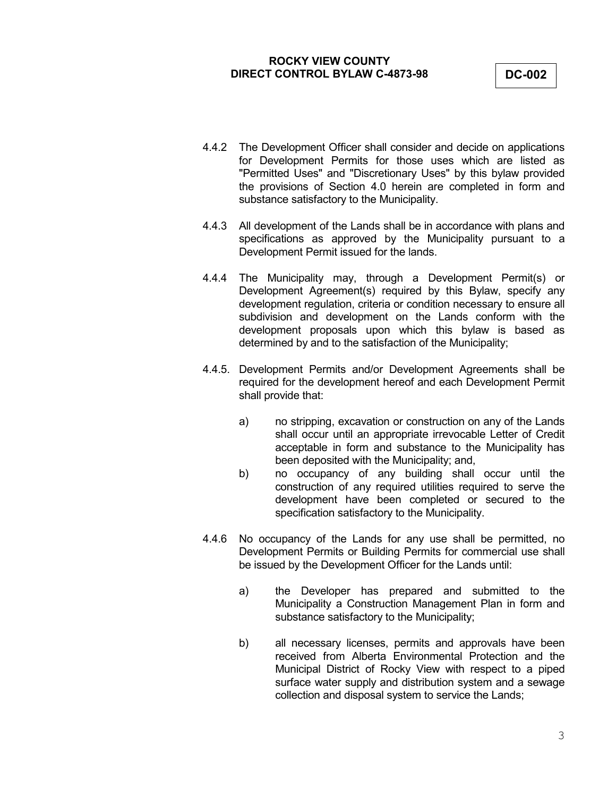**DC-002**

- 4.4.2 The Development Officer shall consider and decide on applications for Development Permits for those uses which are listed as "Permitted Uses" and "Discretionary Uses" by this bylaw provided the provisions of Section 4.0 herein are completed in form and substance satisfactory to the Municipality.
- 4.4.3 All development of the Lands shall be in accordance with plans and specifications as approved by the Municipality pursuant to a Development Permit issued for the lands.
- 4.4.4 The Municipality may, through a Development Permit(s) or Development Agreement(s) required by this Bylaw, specify any development regulation, criteria or condition necessary to ensure all subdivision and development on the Lands conform with the development proposals upon which this bylaw is based as determined by and to the satisfaction of the Municipality;
- 4.4.5. Development Permits and/or Development Agreements shall be required for the development hereof and each Development Permit shall provide that:
	- a) no stripping, excavation or construction on any of the Lands shall occur until an appropriate irrevocable Letter of Credit acceptable in form and substance to the Municipality has been deposited with the Municipality; and,
	- b) no occupancy of any building shall occur until the construction of any required utilities required to serve the development have been completed or secured to the specification satisfactory to the Municipality.
- 4.4.6 No occupancy of the Lands for any use shall be permitted, no Development Permits or Building Permits for commercial use shall be issued by the Development Officer for the Lands until:
	- a) the Developer has prepared and submitted to the Municipality a Construction Management Plan in form and substance satisfactory to the Municipality;
	- b) all necessary licenses, permits and approvals have been received from Alberta Environmental Protection and the Municipal District of Rocky View with respect to a piped surface water supply and distribution system and a sewage collection and disposal system to service the Lands;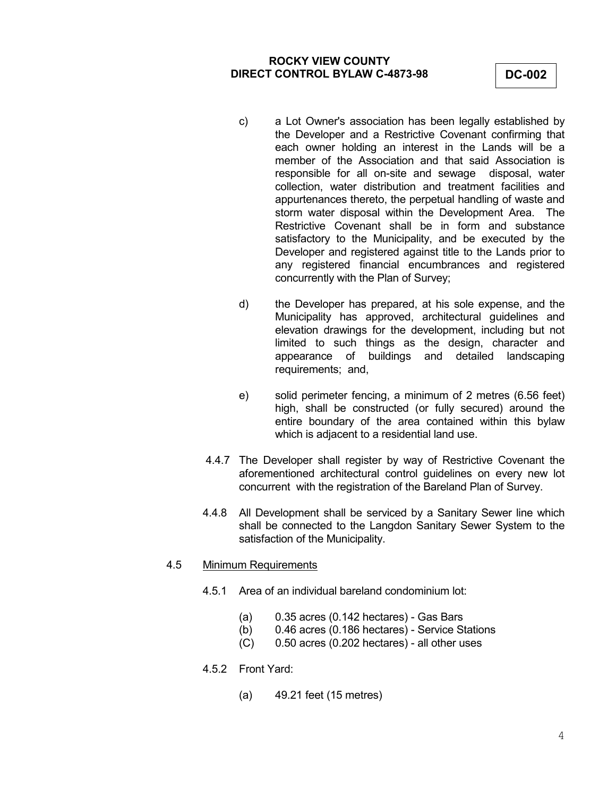- c) a Lot Owner's association has been legally established by the Developer and a Restrictive Covenant confirming that each owner holding an interest in the Lands will be a member of the Association and that said Association is responsible for all on-site and sewage disposal, water collection, water distribution and treatment facilities and appurtenances thereto, the perpetual handling of waste and storm water disposal within the Development Area. The Restrictive Covenant shall be in form and substance satisfactory to the Municipality, and be executed by the Developer and registered against title to the Lands prior to any registered financial encumbrances and registered concurrently with the Plan of Survey;
- d) the Developer has prepared, at his sole expense, and the Municipality has approved, architectural guidelines and elevation drawings for the development, including but not limited to such things as the design, character and appearance of buildings and detailed landscaping requirements; and,
- e) solid perimeter fencing, a minimum of 2 metres (6.56 feet) high, shall be constructed (or fully secured) around the entire boundary of the area contained within this bylaw which is adjacent to a residential land use.
- 4.4.7 The Developer shall register by way of Restrictive Covenant the aforementioned architectural control guidelines on every new lot concurrent with the registration of the Bareland Plan of Survey.
- 4.4.8 All Development shall be serviced by a Sanitary Sewer line which shall be connected to the Langdon Sanitary Sewer System to the satisfaction of the Municipality.
- 4.5 Minimum Requirements
	- 4.5.1 Area of an individual bareland condominium lot:
		- $(a)$  0.35 acres (0.142 hectares) Gas Bars
		- (b) 0.46 acres (0.186 hectares) Service Stations
		- (C) 0.50 acres (0.202 hectares) all other uses
	- 4.5.2 Front Yard:
		- (a) 49.21 feet (15 metres)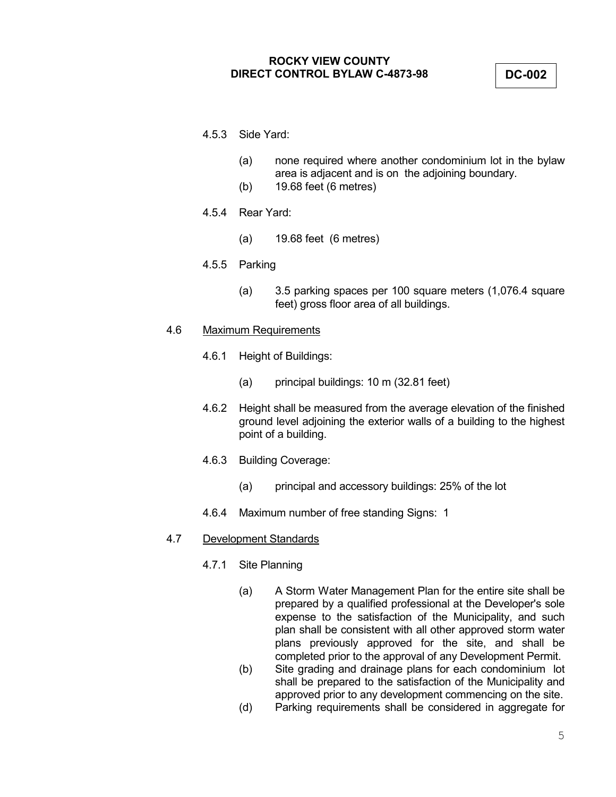**DC-002**

- 4.5.3 Side Yard:
	- (a) none required where another condominium lot in the bylaw area is adjacent and is on the adjoining boundary.
	- (b) 19.68 feet (6 metres)
- 4.5.4 Rear Yard:
	- (a) 19.68 feet (6 metres)
- 4.5.5 Parking
	- (a) 3.5 parking spaces per 100 square meters (1,076.4 square feet) gross floor area of all buildings.
- 4.6 Maximum Requirements
	- 4.6.1 Height of Buildings:
		- (a) principal buildings: 10 m (32.81 feet)
	- 4.6.2 Height shall be measured from the average elevation of the finished ground level adjoining the exterior walls of a building to the highest point of a building.
	- 4.6.3 Building Coverage:
		- (a) principal and accessory buildings: 25% of the lot
	- 4.6.4 Maximum number of free standing Signs: 1

## 4.7 Development Standards

- 4.7.1 Site Planning
	- (a) A Storm Water Management Plan for the entire site shall be prepared by a qualified professional at the Developer's sole expense to the satisfaction of the Municipality, and such plan shall be consistent with all other approved storm water plans previously approved for the site, and shall be completed prior to the approval of any Development Permit.
	- (b) Site grading and drainage plans for each condominium lot shall be prepared to the satisfaction of the Municipality and approved prior to any development commencing on the site.
	- (d) Parking requirements shall be considered in aggregate for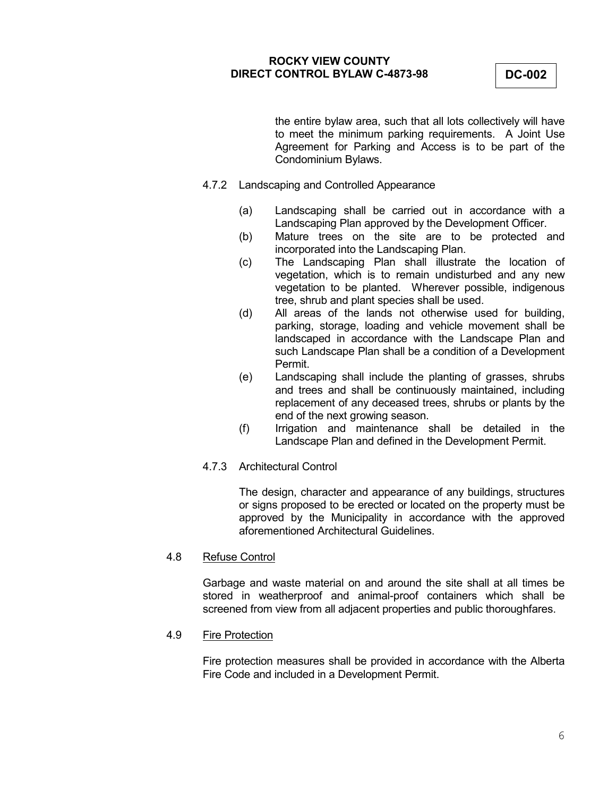**DC-002**

the entire bylaw area, such that all lots collectively will have to meet the minimum parking requirements. A Joint Use Agreement for Parking and Access is to be part of the Condominium Bylaws.

- 4.7.2 Landscaping and Controlled Appearance
	- (a) Landscaping shall be carried out in accordance with a Landscaping Plan approved by the Development Officer.
	- (b) Mature trees on the site are to be protected and incorporated into the Landscaping Plan.
	- (c) The Landscaping Plan shall illustrate the location of vegetation, which is to remain undisturbed and any new vegetation to be planted. Wherever possible, indigenous tree, shrub and plant species shall be used.
	- (d) All areas of the lands not otherwise used for building, parking, storage, loading and vehicle movement shall be landscaped in accordance with the Landscape Plan and such Landscape Plan shall be a condition of a Development Permit.
	- (e) Landscaping shall include the planting of grasses, shrubs and trees and shall be continuously maintained, including replacement of any deceased trees, shrubs or plants by the end of the next growing season.
	- (f) Irrigation and maintenance shall be detailed in the Landscape Plan and defined in the Development Permit.
- 4.7.3 Architectural Control

The design, character and appearance of any buildings, structures or signs proposed to be erected or located on the property must be approved by the Municipality in accordance with the approved aforementioned Architectural Guidelines.

#### 4.8 Refuse Control

Garbage and waste material on and around the site shall at all times be stored in weatherproof and animal-proof containers which shall be screened from view from all adjacent properties and public thoroughfares.

#### 4.9 Fire Protection

Fire protection measures shall be provided in accordance with the Alberta Fire Code and included in a Development Permit.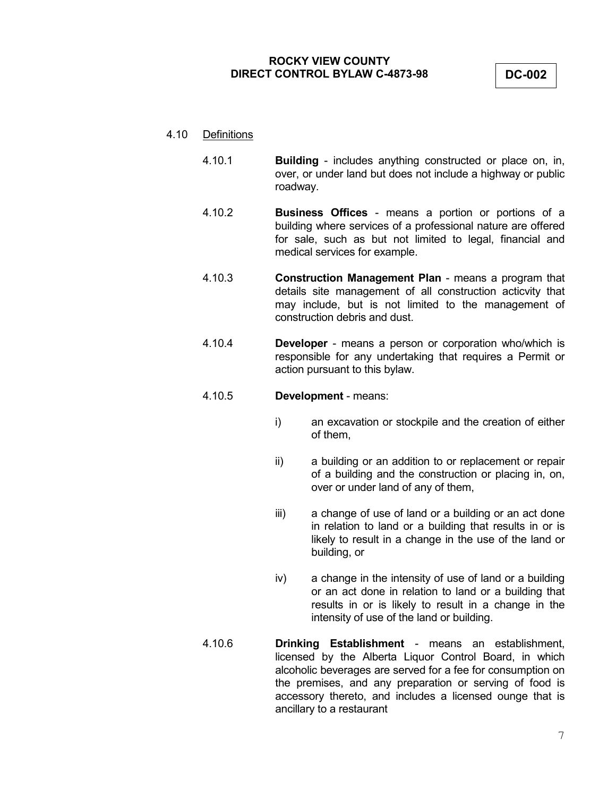**DC-002**

## 4.10 Definitions

- 4.10.1 **Building** includes anything constructed or place on, in, over, or under land but does not include a highway or public roadway.
- 4.10.2 **Business Offices** means a portion or portions of a building where services of a professional nature are offered for sale, such as but not limited to legal, financial and medical services for example.
- 4.10.3 **Construction Management Plan** means a program that details site management of all construction acticvity that may include, but is not limited to the management of construction debris and dust.
- 4.10.4 **Developer** means a person or corporation who/which is responsible for any undertaking that requires a Permit or action pursuant to this bylaw.
- 4.10.5 **Development** means:
	- i) an excavation or stockpile and the creation of either of them,
	- ii) a building or an addition to or replacement or repair of a building and the construction or placing in, on, over or under land of any of them,
	- iii) a change of use of land or a building or an act done in relation to land or a building that results in or is likely to result in a change in the use of the land or building, or
	- iv) a change in the intensity of use of land or a building or an act done in relation to land or a building that results in or is likely to result in a change in the intensity of use of the land or building.
- 4.10.6 **Drinking Establishment** means an establishment, licensed by the Alberta Liquor Control Board, in which alcoholic beverages are served for a fee for consumption on the premises, and any preparation or serving of food is accessory thereto, and includes a licensed ounge that is ancillary to a restaurant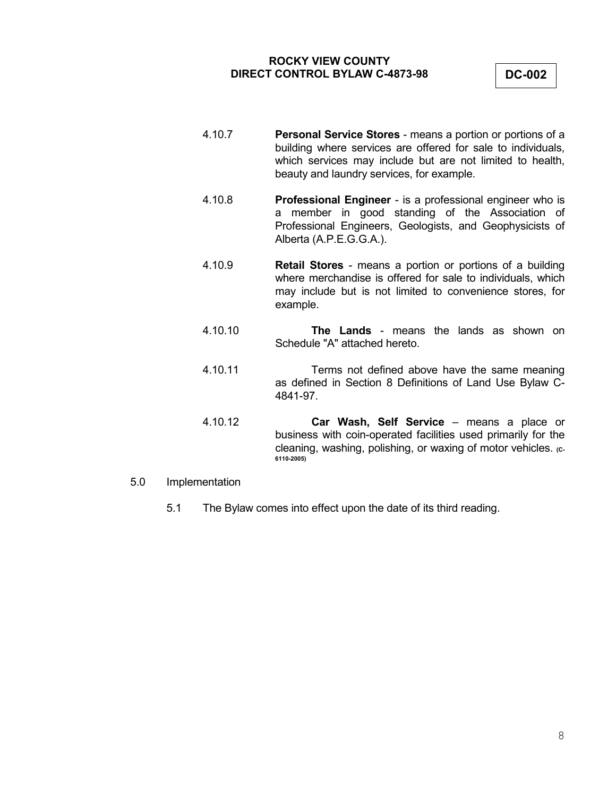**DC-002**

- 4.10.7 **Personal Service Stores** means a portion or portions of a building where services are offered for sale to individuals, which services may include but are not limited to health, beauty and laundry services, for example.
- 4.10.8 **Professional Engineer** is a professional engineer who is a member in good standing of the Association of Professional Engineers, Geologists, and Geophysicists of Alberta (A.P.E.G.G.A.).
- 4.10.9 **Retail Stores** means a portion or portions of a building where merchandise is offered for sale to individuals, which may include but is not limited to convenience stores, for example.
- 4.10.10 **The Lands** means the lands as shown on Schedule "A" attached hereto.
- 4.10.11 Terms not defined above have the same meaning as defined in Section 8 Definitions of Land Use Bylaw C-4841-97.
- 4.10.12 **Car Wash, Self Service**  means a place or business with coin-operated facilities used primarily for the cleaning, washing, polishing, or waxing of motor vehicles. (c-**6110-2005)**
- 5.0 Implementation
	- 5.1 The Bylaw comes into effect upon the date of its third reading.